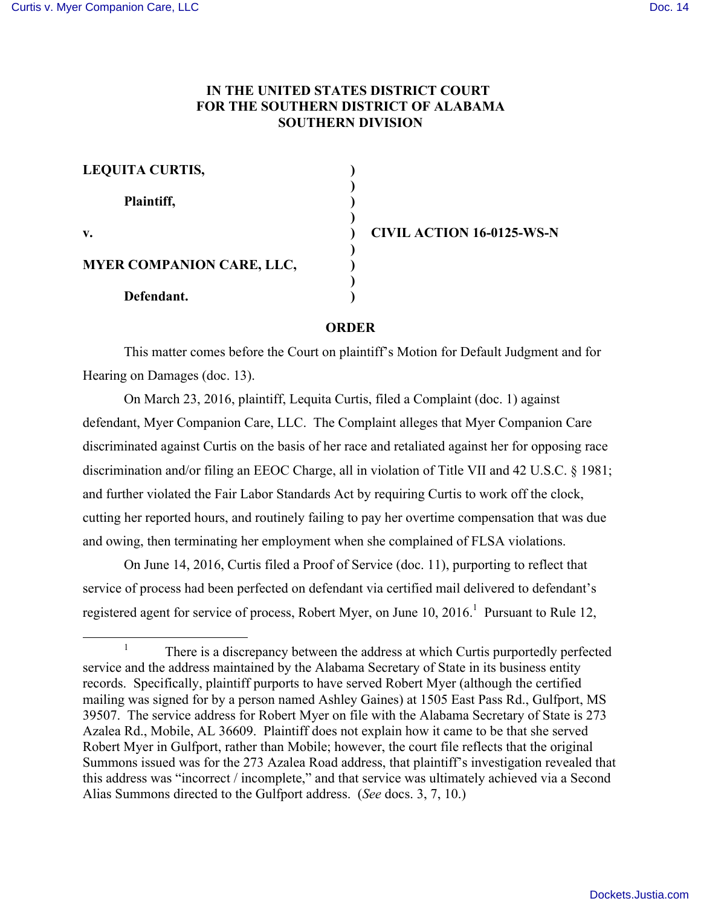## **IN THE UNITED STATES DISTRICT COURT FOR THE SOUTHERN DISTRICT OF ALABAMA SOUTHERN DIVISION**

| <b>LEQUITA CURTIS,</b>    |  |
|---------------------------|--|
| Plaintiff,                |  |
| v.                        |  |
| MYER COMPANION CARE, LLC, |  |
| Defendant.                |  |

**v. ) CIVIL ACTION 16-0125-WS-N**

## **ORDER**

This matter comes before the Court on plaintiff's Motion for Default Judgment and for Hearing on Damages (doc. 13).

On March 23, 2016, plaintiff, Lequita Curtis, filed a Complaint (doc. 1) against defendant, Myer Companion Care, LLC. The Complaint alleges that Myer Companion Care discriminated against Curtis on the basis of her race and retaliated against her for opposing race discrimination and/or filing an EEOC Charge, all in violation of Title VII and 42 U.S.C. § 1981; and further violated the Fair Labor Standards Act by requiring Curtis to work off the clock, cutting her reported hours, and routinely failing to pay her overtime compensation that was due and owing, then terminating her employment when she complained of FLSA violations.

On June 14, 2016, Curtis filed a Proof of Service (doc. 11), purporting to reflect that service of process had been perfected on defendant via certified mail delivered to defendant's registered agent for service of process, Robert Myer, on June  $10, 2016$ <sup>1</sup> Pursuant to Rule 12,

 <sup>1</sup> There is a discrepancy between the address at which Curtis purportedly perfected service and the address maintained by the Alabama Secretary of State in its business entity records. Specifically, plaintiff purports to have served Robert Myer (although the certified mailing was signed for by a person named Ashley Gaines) at 1505 East Pass Rd., Gulfport, MS 39507. The service address for Robert Myer on file with the Alabama Secretary of State is 273 Azalea Rd., Mobile, AL 36609. Plaintiff does not explain how it came to be that she served Robert Myer in Gulfport, rather than Mobile; however, the court file reflects that the original Summons issued was for the 273 Azalea Road address, that plaintiff's investigation revealed that this address was "incorrect / incomplete," and that service was ultimately achieved via a Second Alias Summons directed to the Gulfport address. (*See* docs. 3, 7, 10.)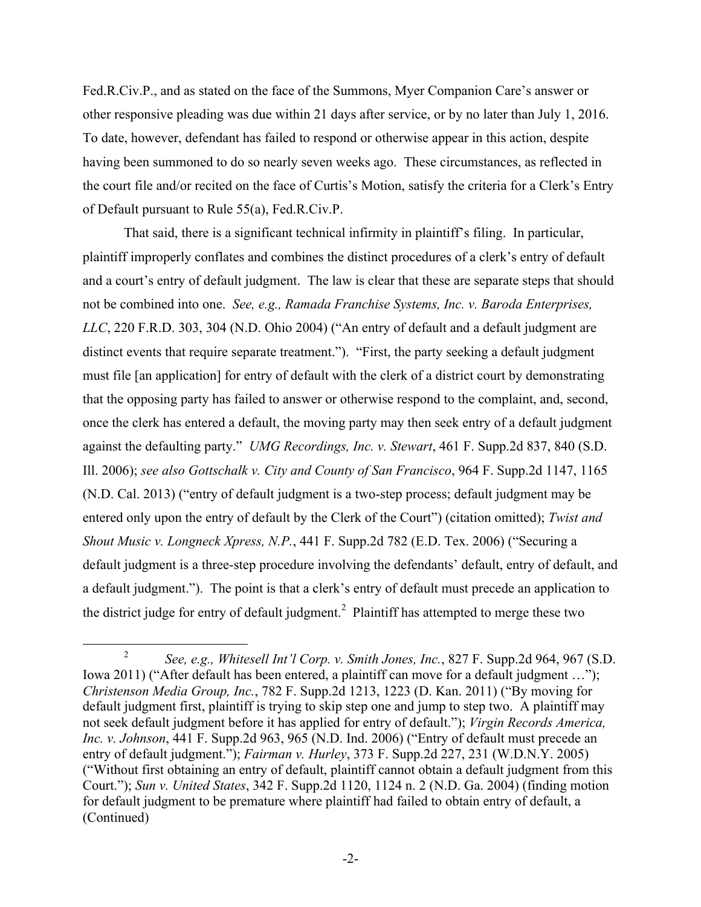Fed.R.Civ.P., and as stated on the face of the Summons, Myer Companion Care's answer or other responsive pleading was due within 21 days after service, or by no later than July 1, 2016. To date, however, defendant has failed to respond or otherwise appear in this action, despite having been summoned to do so nearly seven weeks ago. These circumstances, as reflected in the court file and/or recited on the face of Curtis's Motion, satisfy the criteria for a Clerk's Entry of Default pursuant to Rule 55(a), Fed.R.Civ.P.

That said, there is a significant technical infirmity in plaintiff's filing. In particular, plaintiff improperly conflates and combines the distinct procedures of a clerk's entry of default and a court's entry of default judgment. The law is clear that these are separate steps that should not be combined into one. *See, e.g., Ramada Franchise Systems, Inc. v. Baroda Enterprises, LLC*, 220 F.R.D. 303, 304 (N.D. Ohio 2004) ("An entry of default and a default judgment are distinct events that require separate treatment."). "First, the party seeking a default judgment must file [an application] for entry of default with the clerk of a district court by demonstrating that the opposing party has failed to answer or otherwise respond to the complaint, and, second, once the clerk has entered a default, the moving party may then seek entry of a default judgment against the defaulting party." *UMG Recordings, Inc. v. Stewart*, 461 F. Supp.2d 837, 840 (S.D. Ill. 2006); *see also Gottschalk v. City and County of San Francisco*, 964 F. Supp.2d 1147, 1165 (N.D. Cal. 2013) ("entry of default judgment is a two-step process; default judgment may be entered only upon the entry of default by the Clerk of the Court") (citation omitted); *Twist and Shout Music v. Longneck Xpress, N.P.*, 441 F. Supp.2d 782 (E.D. Tex. 2006) ("Securing a default judgment is a three-step procedure involving the defendants' default, entry of default, and a default judgment."). The point is that a clerk's entry of default must precede an application to the district judge for entry of default judgment.<sup>2</sup> Plaintiff has attempted to merge these two

 <sup>2</sup> *See, e.g., Whitesell Int'l Corp. v. Smith Jones, Inc.*, 827 F. Supp.2d 964, 967 (S.D. Iowa 2011) ("After default has been entered, a plaintiff can move for a default judgment ..."); *Christenson Media Group, Inc.*, 782 F. Supp.2d 1213, 1223 (D. Kan. 2011) ("By moving for default judgment first, plaintiff is trying to skip step one and jump to step two. A plaintiff may not seek default judgment before it has applied for entry of default."); *Virgin Records America, Inc. v. Johnson*, 441 F. Supp.2d 963, 965 (N.D. Ind. 2006) ("Entry of default must precede an entry of default judgment."); *Fairman v. Hurley*, 373 F. Supp.2d 227, 231 (W.D.N.Y. 2005) ("Without first obtaining an entry of default, plaintiff cannot obtain a default judgment from this Court."); *Sun v. United States*, 342 F. Supp.2d 1120, 1124 n. 2 (N.D. Ga. 2004) (finding motion for default judgment to be premature where plaintiff had failed to obtain entry of default, a (Continued)